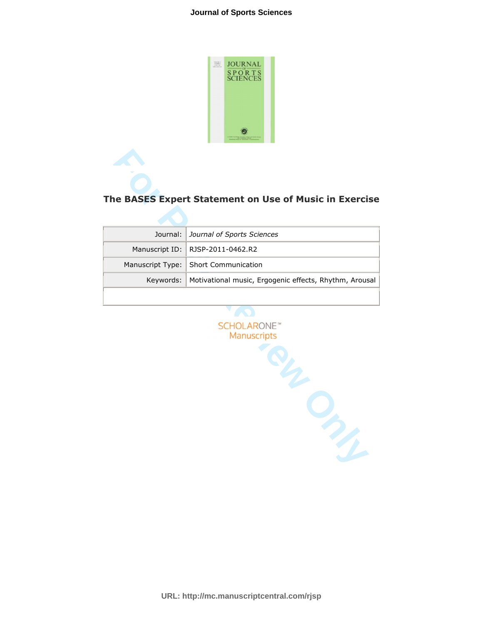

# **The BASES Expert Statement on Use of Music in Exercise**

| Journal:   Journal of Sports Sciences                              |
|--------------------------------------------------------------------|
| Manuscript ID:   RJSP-2011-0462.R2                                 |
| Manuscript Type:   Short Communication                             |
| Keywords:   Motivational music, Ergogenic effects, Rhythm, Arousal |
|                                                                    |

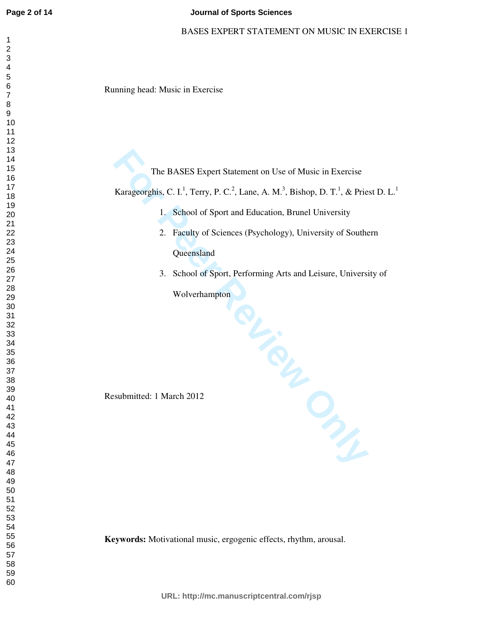### **Journal of Sports Sciences**

### BASES EXPERT STATEMENT ON MUSIC IN EXERCISE 1

Running head: Music in Exercise

The BASES Expert Statement on Use of Music in Exercise Karageorghis, C. I.<sup>1</sup>, Terry, P. C.<sup>2</sup>, Lane, A. M.<sup>3</sup>, Bishop, D. T.<sup>1</sup>, & Priest D. L.<sup>1</sup> 1. School of Sport and Education, Brunel University 2. Faculty of Sciences (Psychology), University of Southern

**Oueensland** 

3. School of Sport, Performing Arts and Leisure, University of

**For Private Private Private** Wolverhampton

Resubmitted: 1 March 2012

**Keywords:** Motivational music, ergogenic effects, rhythm, arousal.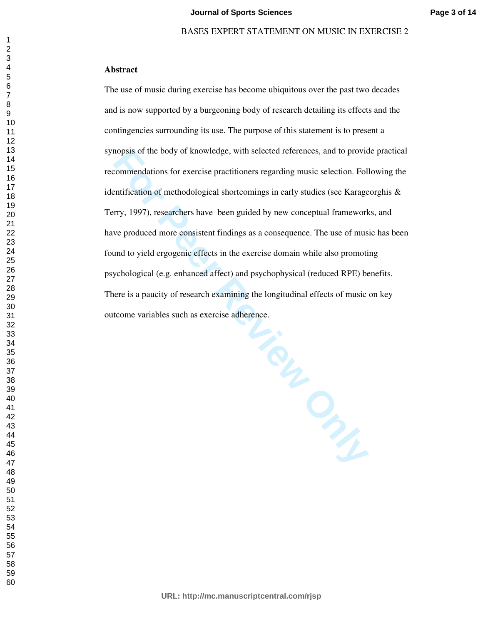# **Abstract**

The use of music during exercise has become ubiquitous over the past two decades and is now supported by a burgeoning body of research detailing its effects and the contingencies surrounding its use. The purpose of this statement is to present a synopsis of the body of knowledge, with selected references, and to provide practical recommendations for exercise practitioners regarding music selection. Following the identification of methodological shortcomings in early studies (see Karageorghis & Terry, 1997), researchers have been guided by new conceptual frameworks, and have produced more consistent findings as a consequence. The use of music has been found to yield ergogenic effects in the exercise domain while also promoting psychological (e.g. enhanced affect) and psychophysical (reduced RPE) benefits. There is a paucity of research examining the longitudinal effects of music on key outcome variables such as exercise adherence.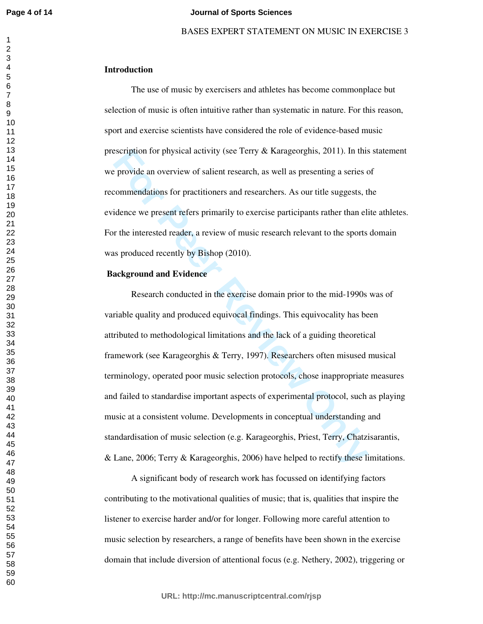#### **Journal of Sports Sciences**

### BASES EXPERT STATEMENT ON MUSIC IN EXERCISE 3

# **Introduction**

The use of music by exercisers and athletes has become commonplace but selection of music is often intuitive rather than systematic in nature. For this reason, sport and exercise scientists have considered the role of evidence-based music prescription for physical activity (see Terry & Karageorghis, 2011). In this statement we provide an overview of salient research, as well as presenting a series of recommendations for practitioners and researchers. As our title suggests, the evidence we present refers primarily to exercise participants rather than elite athletes. For the interested reader, a review of music research relevant to the sports domain was produced recently by Bishop (2010).

# **Background and Evidence**

escription for physical activity (see Terry & Karageorghis, 2011). In this<br>eprovide an overview of salient research, as well as presenting a series commendations for practitioners and researchers. As our title suggests, ti Research conducted in the exercise domain prior to the mid-1990s was of variable quality and produced equivocal findings. This equivocality has been attributed to methodological limitations and the lack of a guiding theoretical framework (see Karageorghis & Terry, 1997). Researchers often misused musical terminology, operated poor music selection protocols, chose inappropriate measures and failed to standardise important aspects of experimental protocol, such as playing music at a consistent volume. Developments in conceptual understanding and standardisation of music selection (e.g. Karageorghis, Priest, Terry, Chatzisarantis, & Lane, 2006; Terry & Karageorghis, 2006) have helped to rectify these limitations.

A significant body of research work has focussed on identifying factors contributing to the motivational qualities of music; that is, qualities that inspire the listener to exercise harder and/or for longer. Following more careful attention to music selection by researchers, a range of benefits have been shown in the exercise domain that include diversion of attentional focus (e.g. Nethery, 2002), triggering or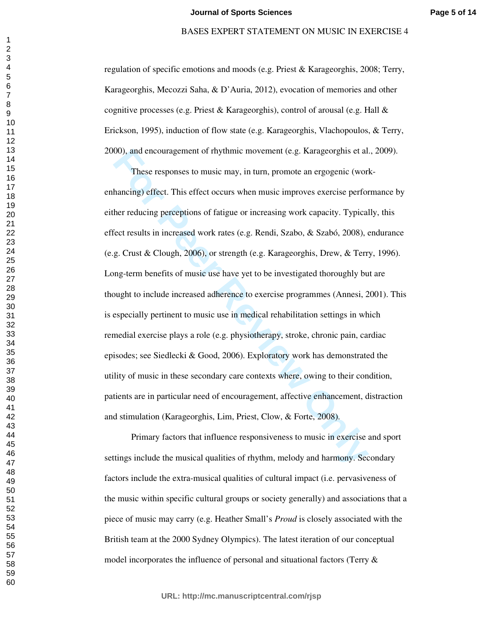regulation of specific emotions and moods (e.g. Priest & Karageorghis, 2008; Terry, Karageorghis, Mecozzi Saha, & D'Auria, 2012), evocation of memories and other cognitive processes (e.g. Priest & Karageorghis), control of arousal (e.g. Hall  $\&$ Erickson, 1995), induction of flow state (e.g. Karageorghis, Vlachopoulos, & Terry, 2000), and encouragement of rhythmic movement (e.g. Karageorghis et al., 2009).

00), and encouragement of rhythmic movement (e.g. Karageorghis et al<br>
These responses to music may, in turn, promote an ergogenic (wor<br>
hancing) effect. This effect occurs when music improves exercise perfor<br>
her reducing These responses to music may, in turn, promote an ergogenic (workenhancing) effect. This effect occurs when music improves exercise performance by either reducing perceptions of fatigue or increasing work capacity. Typically, this effect results in increased work rates (e.g. Rendi, Szabo, & Szabó, 2008), endurance (e.g. Crust & Clough, 2006), or strength (e.g. Karageorghis, Drew, & Terry, 1996). Long-term benefits of music use have yet to be investigated thoroughly but are thought to include increased adherence to exercise programmes (Annesi, 2001). This is especially pertinent to music use in medical rehabilitation settings in which remedial exercise plays a role (e.g. physiotherapy, stroke, chronic pain, cardiac episodes; see Siedlecki & Good, 2006). Exploratory work has demonstrated the utility of music in these secondary care contexts where, owing to their condition, patients are in particular need of encouragement, affective enhancement, distraction and stimulation (Karageorghis, Lim, Priest, Clow, & Forte, 2008).

Primary factors that influence responsiveness to music in exercise and sport settings include the musical qualities of rhythm, melody and harmony. Secondary factors include the extra-musical qualities of cultural impact (i.e. pervasiveness of the music within specific cultural groups or society generally) and associations that a piece of music may carry (e.g. Heather Small's *Proud* is closely associated with the British team at the 2000 Sydney Olympics). The latest iteration of our conceptual model incorporates the influence of personal and situational factors (Terry &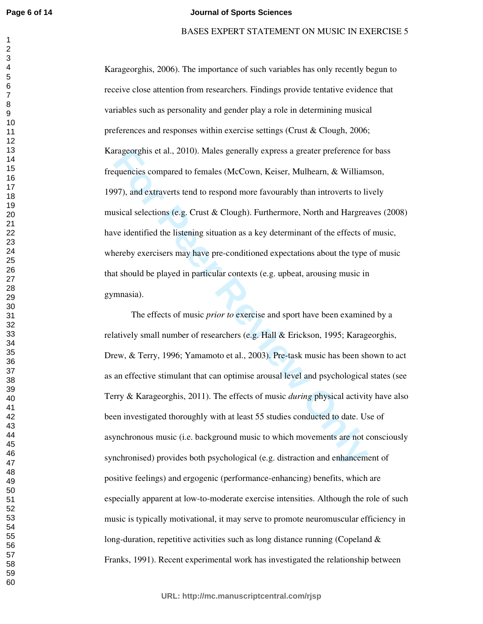#### **Journal of Sports Sciences**

### BASES EXPERT STATEMENT ON MUSIC IN EXERCISE 5

Karageorghis, 2006). The importance of such variables has only recently begun to receive close attention from researchers. Findings provide tentative evidence that variables such as personality and gender play a role in determining musical preferences and responses within exercise settings (Crust & Clough, 2006; Karageorghis et al., 2010). Males generally express a greater preference for bass frequencies compared to females (McCown, Keiser, Mulhearn, & Williamson, 1997), and extraverts tend to respond more favourably than introverts to lively musical selections (e.g. Crust & Clough). Furthermore, North and Hargreaves (2008) have identified the listening situation as a key determinant of the effects of music, whereby exercisers may have pre-conditioned expectations about the type of music that should be played in particular contexts (e.g. upbeat, arousing music in gymnasia).

trageorghis et al., 2010). Males generally express a greater preference fo<br>equencies compared to females (McCown, Keiser, Mulhearn, & William<br>97), and extraverts tend to respond more favourably than introverts to li<br>bisica The effects of music *prior to* exercise and sport have been examined by a relatively small number of researchers (e.g. Hall & Erickson, 1995; Karageorghis, Drew, & Terry, 1996; Yamamoto et al., 2003). Pre-task music has been shown to act as an effective stimulant that can optimise arousal level and psychological states (see Terry & Karageorghis, 2011). The effects of music *during* physical activity have also been investigated thoroughly with at least 55 studies conducted to date. Use of asynchronous music (i.e. background music to which movements are not consciously synchronised) provides both psychological (e.g. distraction and enhancement of positive feelings) and ergogenic (performance-enhancing) benefits, which are especially apparent at low-to-moderate exercise intensities. Although the role of such music is typically motivational, it may serve to promote neuromuscular efficiency in long-duration, repetitive activities such as long distance running (Copeland  $\&$ Franks, 1991). Recent experimental work has investigated the relationship between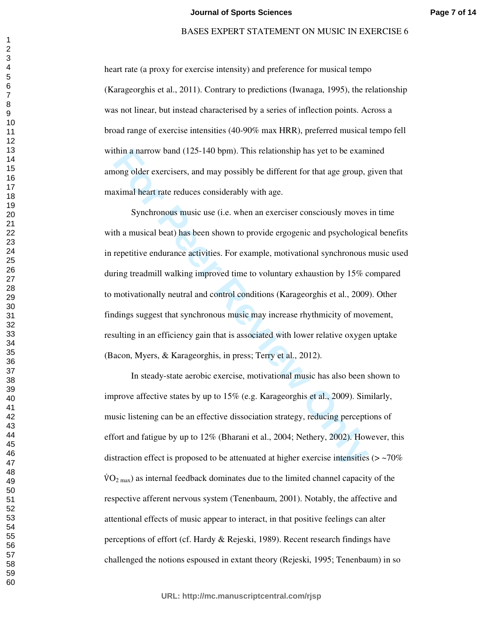heart rate (a proxy for exercise intensity) and preference for musical tempo (Karageorghis et al., 2011). Contrary to predictions (Iwanaga, 1995), the relationship was not linear, but instead characterised by a series of inflection points. Across a broad range of exercise intensities (40-90% max HRR), preferred musical tempo fell within a narrow band (125-140 bpm). This relationship has yet to be examined among older exercisers, and may possibly be different for that age group, given that maximal heart rate reduces considerably with age.

thin a narrow band (125-140 bpm). This relationship has yet to be exam<br>nong older exercisers, and may possibly be different for that age group, g<br>ximal heart rate reduces considerably with age.<br>Synchronous music use (i.e. Synchronous music use (i.e. when an exerciser consciously moves in time with a musical beat) has been shown to provide ergogenic and psychological benefits in repetitive endurance activities. For example, motivational synchronous music used during treadmill walking improved time to voluntary exhaustion by 15% compared to motivationally neutral and control conditions (Karageorghis et al., 2009). Other findings suggest that synchronous music may increase rhythmicity of movement, resulting in an efficiency gain that is associated with lower relative oxygen uptake (Bacon, Myers, & Karageorghis, in press; Terry et al., 2012).

In steady-state aerobic exercise, motivational music has also been shown to improve affective states by up to 15% (e.g. Karageorghis et al., 2009). Similarly, music listening can be an effective dissociation strategy, reducing perceptions of effort and fatigue by up to 12% (Bharani et al., 2004; Nethery, 2002). However, this distraction effect is proposed to be attenuated at higher exercise intensities  $(> 70\%$  $\rm \dot{VO}_{2~max}$ ) as internal feedback dominates due to the limited channel capacity of the respective afferent nervous system (Tenenbaum, 2001). Notably, the affective and attentional effects of music appear to interact, in that positive feelings can alter perceptions of effort (cf. Hardy & Rejeski, 1989). Recent research findings have challenged the notions espoused in extant theory (Rejeski, 1995; Tenenbaum) in so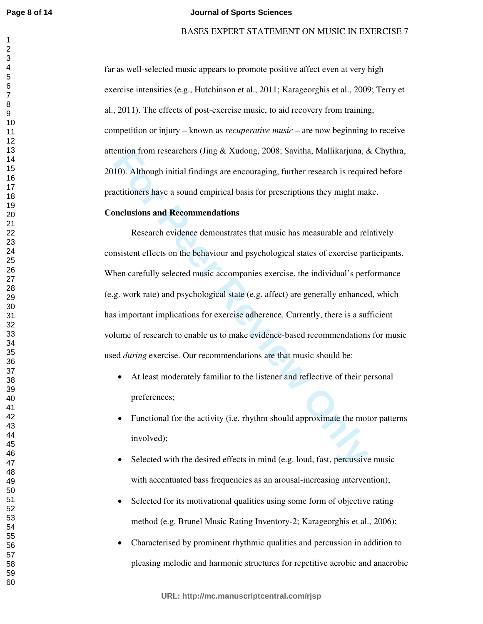#### **Journal of Sports Sciences**

### BASES EXPERT STATEMENT ON MUSIC IN EXERCISE 7

far as well-selected music appears to promote positive affect even at very high exercise intensities (e.g., Hutchinson et al., 2011; Karageorghis et al., 2009; Terry et al., 2011). The effects of post-exercise music, to aid recovery from training, competition or injury – known as *recuperative music* – are now beginning to receive attention from researchers (Jing & Xudong, 2008; Savitha, Mallikarjuna, & Chythra, 2010). Although initial findings are encouraging, further research is required before practitioners have a sound empirical basis for prescriptions they might make.

### **Conclusions and Recommendations**

ention from researchers (Jing & Xudong, 2008; Savitha, Mallikarjuna, *b*<br>
10). Although initial findings are encouraging, further research is requirectitioners have a sound empirical basis for prescriptions they might male Research evidence demonstrates that music has measurable and relatively consistent effects on the behaviour and psychological states of exercise participants. When carefully selected music accompanies exercise, the individual's performance (e.g. work rate) and psychological state (e.g. affect) are generally enhanced, which has important implications for exercise adherence. Currently, there is a sufficient volume of research to enable us to make evidence-based recommendations for music used *during* exercise. Our recommendations are that music should be:

- At least moderately familiar to the listener and reflective of their personal preferences;
- Functional for the activity (i.e. rhythm should approximate the motor patterns involved);
- Selected with the desired effects in mind (e.g. loud, fast, percussive music with accentuated bass frequencies as an arousal-increasing intervention);
- Selected for its motivational qualities using some form of objective rating method (e.g. Brunel Music Rating Inventory-2; Karageorghis et al., 2006);
- Characterised by prominent rhythmic qualities and percussion in addition to pleasing melodic and harmonic structures for repetitive aerobic and anaerobic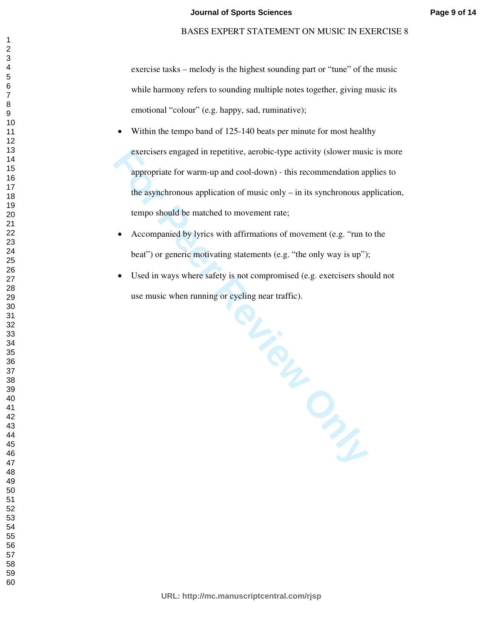# BASES EXPERT STATEMENT ON MUSIC IN EXERCISE 8

exercise tasks – melody is the highest sounding part or "tune" of the music while harmony refers to sounding multiple notes together, giving music its emotional "colour" (e.g. happy, sad, ruminative);

- Within the tempo band of 125-140 beats per minute for most healthy exercisers engaged in repetitive, aerobic-type activity (slower music is more appropriate for warm-up and cool-down) - this recommendation applies to the asynchronous application of music only – in its synchronous application, tempo should be matched to movement rate;
- Accompanied by lyrics with affirmations of movement (e.g. "run to the beat") or generic motivating statements (e.g. "the only way is up");
- Accompanied by lyrics with affirmations of movement (e.g. "run to the beat") or generic motivating statements (e.g. "the only way is up");<br>
 Used in ways where safety is not compromised (e.g. exercisers should not use m • Used in ways where safety is not compromised (e.g. exercisers should not use music when running or cycling near traffic).

**URL: http://mc.manuscriptcentral.com/rjsp**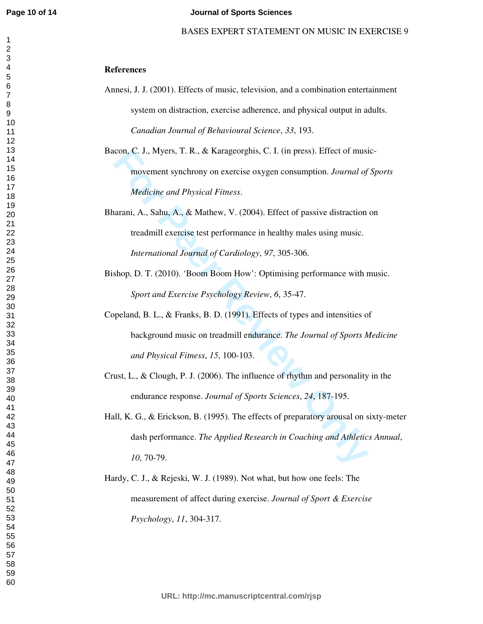# **References**

Annesi, J. J. (2001). Effects of music, television, and a combination entertainment system on distraction, exercise adherence, and physical output in adults. *Canadian Journal of Behavioural Science*, *33*, 193.

Bacon, C. J., Myers, T. R., & Karageorghis, C. I. (in press). Effect of musicmovement synchrony on exercise oxygen consumption. *Journal of Sports Medicine and Physical Fitness*.

Bharani, A., Sahu, A., & Mathew, V. (2004). Effect of passive distraction on treadmill exercise test performance in healthy males using music. *International Journal of Cardiology*, *97*, 305-306.

- Bishop, D. T. (2010). 'Boom Boom How': Optimising performance with music. *Sport and Exercise Psychology Review*, *6*, 35-47.
- con, C. J., Myers, T. R., & Karageorghis, C. I. (in press). Effect of musi<br>movement synchrony on exercise oxygen consumption. *Journal of*<br>*Medicine and Physical Fitness.*<br>arani, A., Sahu, A., & Mathew, V. (2004). Effect o Copeland, B. L., & Franks, B. D. (1991). Effects of types and intensities of background music on treadmill endurance. *The Journal of Sports Medicine and Physical Fitness*, *15*, 100-103.
- Crust, L., & Clough, P. J. (2006). The influence of rhythm and personality in the endurance response. *Journal of Sports Sciences*, *24*, 187-195.
- Hall, K. G., & Erickson, B. (1995). The effects of preparatory arousal on sixty-meter dash performance. *The Applied Research in Coaching and Athletics Annual*, , 70-79.
- Hardy, C. J., & Rejeski, W. J. (1989). Not what, but how one feels: The measurement of affect during exercise. *Journal of Sport & Exercise Psychology*, *11*, 304-317.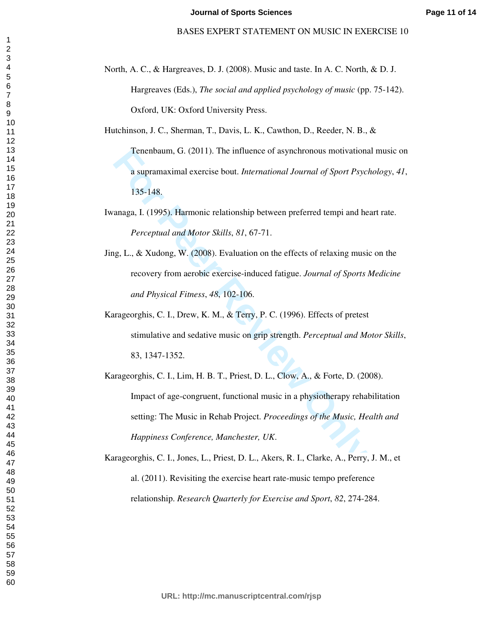North, A. C., & Hargreaves, D. J. (2008). Music and taste. In A. C. North, & D. J. Hargreaves (Eds.), *The social and applied psychology of music* (pp. 75-142). Oxford, UK: Oxford University Press.

Hutchinson, J. C., Sherman, T., Davis, L. K., Cawthon, D., Reeder, N. B., &

Tenenbaum, G. (2011). The influence of asynchronous motivational music on a supramaximal exercise bout. *International Journal of Sport Psychology*, *41*, 135-148.

Iwanaga, I. (1995). Harmonic relationship between preferred tempi and heart rate. *Perceptual and Motor Skills*, *81*, 67-71.

- Jing, L., & Xudong, W. (2008). Evaluation on the effects of relaxing music on the recovery from aerobic exercise-induced fatigue. *Journal of Sports Medicine and Physical Fitness*, *48*, 102-106.
- Karageorghis, C. I., Drew, K. M., & Terry, P. C. (1996). Effects of pretest stimulative and sedative music on grip strength. *Perceptual and Motor Skills*, 83, 1347-1352.

Tenenbaum, G. (2011). The influence of asynchronous motivations<br>a supramaximal exercise bout. *International Journal of Sport Psyci*<br>135-148.<br>anaga, I. (1995). Harmonic relationship between preferred tempi and he<br>*Perceptu* Karageorghis, C. I., Lim, H. B. T., Priest, D. L., Clow, A., & Forte, D. (2008). Impact of age-congruent, functional music in a physiotherapy rehabilitation setting: The Music in Rehab Project. *Proceedings of the Music, Health and Happiness Conference, Manchester, UK*.

Karageorghis, C. I., Jones, L., Priest, D. L., Akers, R. I., Clarke, A., Perry, J. M., et al. (2011). Revisiting the exercise heart rate-music tempo preference relationship. *Research Quarterly for Exercise and Sport*, *82*, 274-284.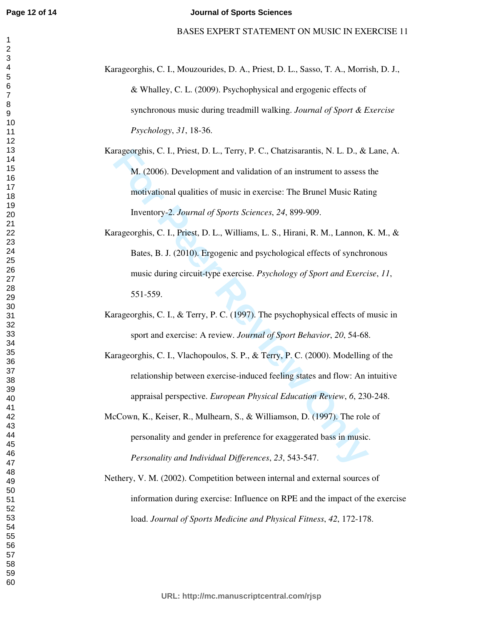- Karageorghis, C. I., Mouzourides, D. A., Priest, D. L., Sasso, T. A., Morrish, D. J., & Whalley, C. L. (2009). Psychophysical and ergogenic effects of synchronous music during treadmill walking. *Journal of Sport & Exercise Psychology*, *31*, 18-36.
- Karageorghis, C. I., Priest, D. L., Terry, P. C., Chatzisarantis, N. L. D., & Lane, A. M. (2006). Development and validation of an instrument to assess the motivational qualities of music in exercise: The Brunel Music Rating Inventory-2. *Journal of Sports Sciences*, *24*, 899-909.
- trageorghis, C. I., Priest, D. L., Terry, P. C., Chatzisarantis, N. L. D., &<br> **M.** (2006). Development and validation of an instrument to assess<br>
motivational qualities of music in exercise: The Brunel Music Rati<br>
Inventor Karageorghis, C. I., Priest, D. L., Williams, L. S., Hirani, R. M., Lannon, K. M., & Bates, B. J. (2010). Ergogenic and psychological effects of synchronous music during circuit-type exercise. *Psychology of Sport and Exercise*, *11*, 551-559.
- Karageorghis, C. I., & Terry, P. C. (1997). The psychophysical effects of music in sport and exercise: A review. *Journal of Sport Behavior*, *20*, 54-68.
- Karageorghis, C. I., Vlachopoulos, S. P., & Terry, P. C. (2000). Modelling of the relationship between exercise-induced feeling states and flow: An intuitive appraisal perspective. *European Physical Education Review*, *6*, 230-248.
- McCown, K., Keiser, R., Mulhearn, S., & Williamson, D. (1997). The role of personality and gender in preference for exaggerated bass in music. *Personality and Individual Differences*, *23*, 543-547.
- Nethery, V. M. (2002). Competition between internal and external sources of information during exercise: Influence on RPE and the impact of the exercise load. *Journal of Sports Medicine and Physical Fitness*, *42*, 172-178.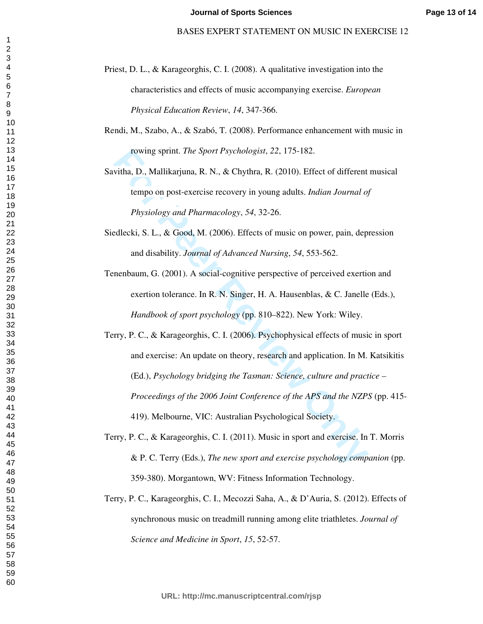- Priest, D. L., & Karageorghis, C. I. (2008). A qualitative investigation into the characteristics and effects of music accompanying exercise. *European Physical Education Review*, *14*, 347-366.
- Rendi, M., Szabo, A., & Szabó, T. (2008). Performance enhancement with music in rowing sprint. *The Sport Psychologist*, *22*, 175-182.

Savitha, D., Mallikarjuna, R. N., & Chythra, R. (2010). Effect of different musical tempo on post-exercise recovery in young adults. *Indian Journal of Physiology and Pharmacology*, *54*, 32-26.

Siedlecki, S. L., & Good, M. (2006). Effects of music on power, pain, depression and disability. *Journal of Advanced Nursing*, *54*, 553-562.

Tenenbaum, G. (2001). A social-cognitive perspective of perceived exertion and exertion tolerance. In R. N. Singer, H. A. Hausenblas, & C. Janelle (Eds.), *Handbook of sport psychology* (pp. 810–822). New York: Wiley.

- rowing sprint. The Sport Psychologist, 22, 175-182.<br>
vitha, D., Mallikarjuna, R. N., & Chythra, R. (2010). Effect of different<br>
tempo on post-exercise recovery in young adults. Indian Journal of<br>
Physiology and Pharmacolog Terry, P. C., & Karageorghis, C. I. (2006). Psychophysical effects of music in sport and exercise: An update on theory, research and application. In M. Katsikitis (Ed.), *Psychology bridging the Tasman: Science, culture and practice – Proceedings of the 2006 Joint Conference of the APS and the NZPS* (pp. 415- 419). Melbourne, VIC: Australian Psychological Society.
- Terry, P. C., & Karageorghis, C. I. (2011). Music in sport and exercise. In T. Morris & P. C. Terry (Eds.), *The new sport and exercise psychology companion* (pp. 359-380). Morgantown, WV: Fitness Information Technology.
- Terry, P. C., Karageorghis, C. I., Mecozzi Saha, A., & D'Auria, S. (2012). Effects of synchronous music on treadmill running among elite triathletes. *Journal of Science and Medicine in Sport*, *15*, 52-57.